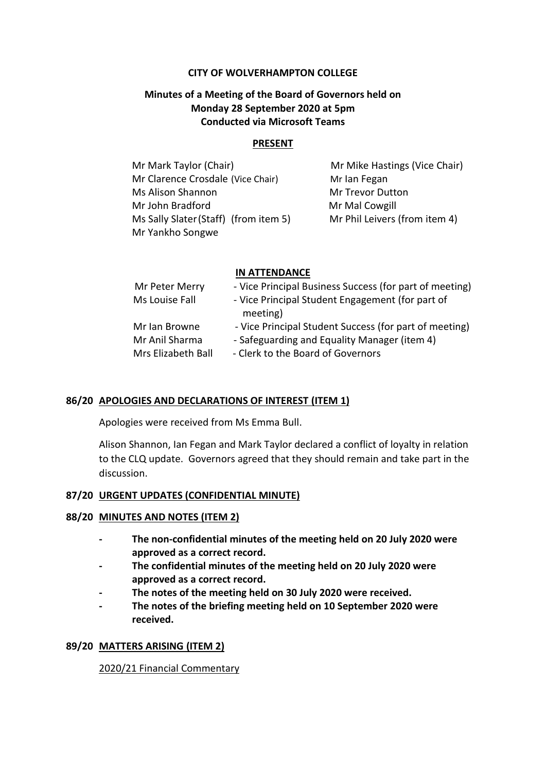#### **CITY OF WOLVERHAMPTON COLLEGE**

# **Minutes of a Meeting of the Board of Governors held on Monday 28 September 2020 at 5pm Conducted via Microsoft Teams**

#### **PRESENT**

Mr Mark Taylor (Chair) Mr Mike Hastings (Vice Chair) Mr Clarence Crosdale (Vice Chair) Mr Ian Fegan Ms Alison Shannon Mr Trevor Dutton Mr John Bradford Mr Mal Cowgill Ms Sally Slater(Staff) (from item 5) Mr Phil Leivers (from item 4) Mr Yankho Songwe

### **IN ATTENDANCE**

| Mr Peter Merry     | - Vice Principal Business Success (for part of meeting)      |
|--------------------|--------------------------------------------------------------|
| Ms Louise Fall     | - Vice Principal Student Engagement (for part of<br>meeting) |
| Mr Ian Browne      | - Vice Principal Student Success (for part of meeting)       |
| Mr Anil Sharma     | - Safeguarding and Equality Manager (item 4)                 |
| Mrs Elizabeth Ball | - Clerk to the Board of Governors                            |

### **86/20 APOLOGIES AND DECLARATIONS OF INTEREST (ITEM 1)**

Apologies were received from Ms Emma Bull.

Alison Shannon, Ian Fegan and Mark Taylor declared a conflict of loyalty in relation to the CLQ update. Governors agreed that they should remain and take part in the discussion.

### **87/20 URGENT UPDATES (CONFIDENTIAL MINUTE)**

### **88/20 MINUTES AND NOTES (ITEM 2)**

- **- The non-confidential minutes of the meeting held on 20 July 2020 were approved as a correct record.**
- **- The confidential minutes of the meeting held on 20 July 2020 were approved as a correct record.**
- **- The notes of the meeting held on 30 July 2020 were received.**
- **- The notes of the briefing meeting held on 10 September 2020 were received.**

### **89/20 MATTERS ARISING (ITEM 2)**

2020/21 Financial Commentary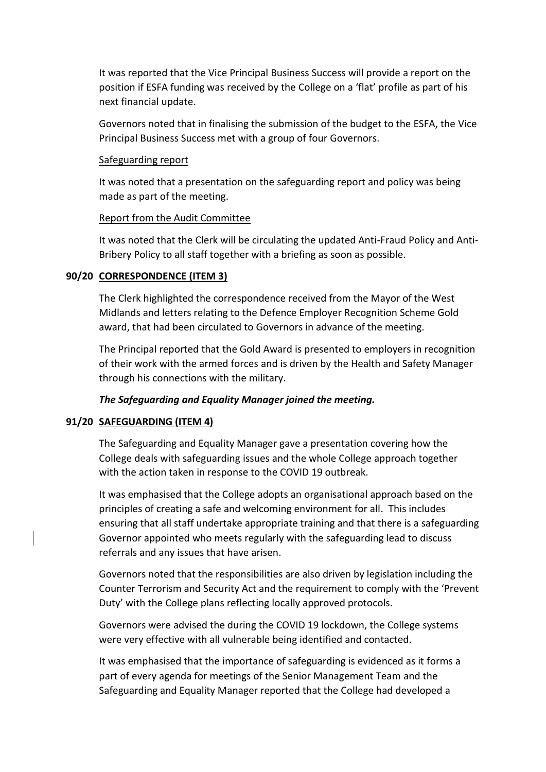It was reported that the Vice Principal Business Success will provide a report on the position if ESFA funding was received by the College on a 'flat' profile as part of his next financial update.

Governors noted that in finalising the submission of the budget to the ESFA, the Vice Principal Business Success met with a group of four Governors.

#### Safeguarding report

It was noted that a presentation on the safeguarding report and policy was being made as part of the meeting.

### Report from the Audit Committee

It was noted that the Clerk will be circulating the updated Anti-Fraud Policy and Anti-Bribery Policy to all staff together with a briefing as soon as possible.

### **90/20 CORRESPONDENCE (ITEM 3)**

The Clerk highlighted the correspondence received from the Mayor of the West Midlands and letters relating to the Defence Employer Recognition Scheme Gold award, that had been circulated to Governors in advance of the meeting.

The Principal reported that the Gold Award is presented to employers in recognition of their work with the armed forces and is driven by the Health and Safety Manager through his connections with the military.

### *The Safeguarding and Equality Manager joined the meeting.*

### **91/20 SAFEGUARDING (ITEM 4)**

The Safeguarding and Equality Manager gave a presentation covering how the College deals with safeguarding issues and the whole College approach together with the action taken in response to the COVID 19 outbreak.

It was emphasised that the College adopts an organisational approach based on the principles of creating a safe and welcoming environment for all. This includes ensuring that all staff undertake appropriate training and that there is a safeguarding Governor appointed who meets regularly with the safeguarding lead to discuss referrals and any issues that have arisen.

Governors noted that the responsibilities are also driven by legislation including the Counter Terrorism and Security Act and the requirement to comply with the 'Prevent Duty' with the College plans reflecting locally approved protocols.

Governors were advised the during the COVID 19 lockdown, the College systems were very effective with all vulnerable being identified and contacted.

It was emphasised that the importance of safeguarding is evidenced as it forms a part of every agenda for meetings of the Senior Management Team and the Safeguarding and Equality Manager reported that the College had developed a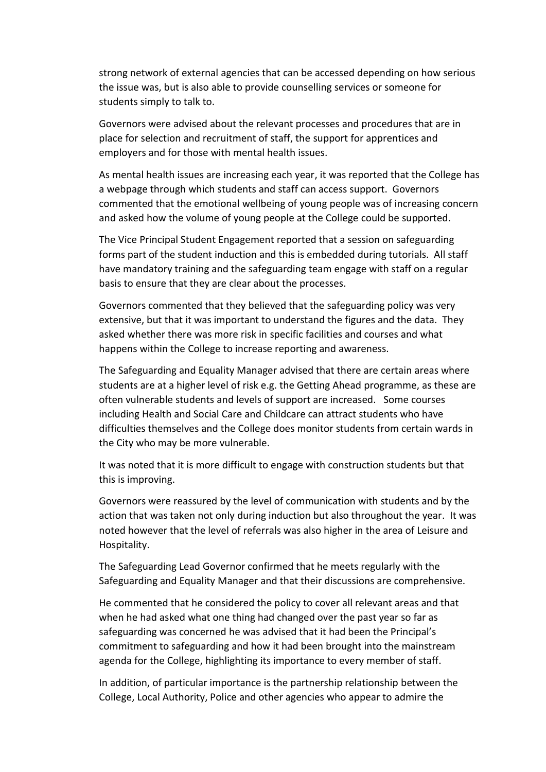strong network of external agencies that can be accessed depending on how serious the issue was, but is also able to provide counselling services or someone for students simply to talk to.

Governors were advised about the relevant processes and procedures that are in place for selection and recruitment of staff, the support for apprentices and employers and for those with mental health issues.

As mental health issues are increasing each year, it was reported that the College has a webpage through which students and staff can access support. Governors commented that the emotional wellbeing of young people was of increasing concern and asked how the volume of young people at the College could be supported.

The Vice Principal Student Engagement reported that a session on safeguarding forms part of the student induction and this is embedded during tutorials. All staff have mandatory training and the safeguarding team engage with staff on a regular basis to ensure that they are clear about the processes.

Governors commented that they believed that the safeguarding policy was very extensive, but that it was important to understand the figures and the data. They asked whether there was more risk in specific facilities and courses and what happens within the College to increase reporting and awareness.

The Safeguarding and Equality Manager advised that there are certain areas where students are at a higher level of risk e.g. the Getting Ahead programme, as these are often vulnerable students and levels of support are increased. Some courses including Health and Social Care and Childcare can attract students who have difficulties themselves and the College does monitor students from certain wards in the City who may be more vulnerable.

It was noted that it is more difficult to engage with construction students but that this is improving.

Governors were reassured by the level of communication with students and by the action that was taken not only during induction but also throughout the year. It was noted however that the level of referrals was also higher in the area of Leisure and Hospitality.

The Safeguarding Lead Governor confirmed that he meets regularly with the Safeguarding and Equality Manager and that their discussions are comprehensive.

He commented that he considered the policy to cover all relevant areas and that when he had asked what one thing had changed over the past year so far as safeguarding was concerned he was advised that it had been the Principal's commitment to safeguarding and how it had been brought into the mainstream agenda for the College, highlighting its importance to every member of staff.

In addition, of particular importance is the partnership relationship between the College, Local Authority, Police and other agencies who appear to admire the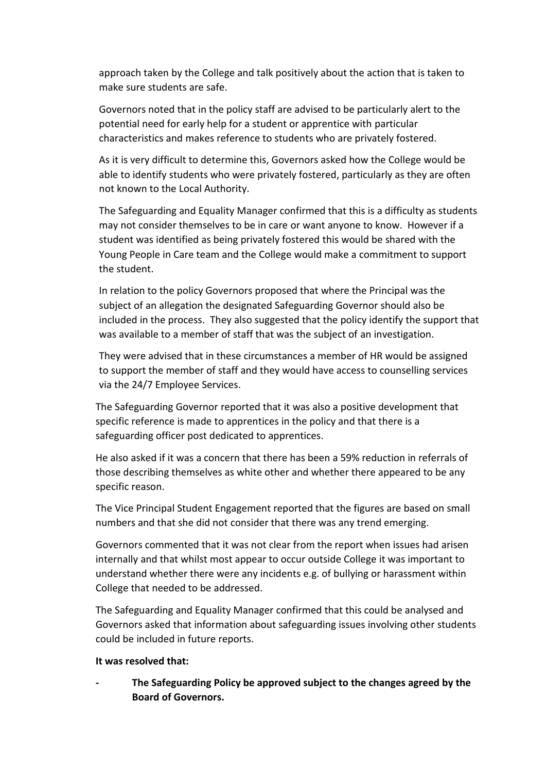approach taken by the College and talk positively about the action that is taken to make sure students are safe.

Governors noted that in the policy staff are advised to be particularly alert to the potential need for early help for a student or apprentice with particular characteristics and makes reference to students who are privately fostered.

As it is very difficult to determine this, Governors asked how the College would be able to identify students who were privately fostered, particularly as they are often not known to the Local Authority.

The Safeguarding and Equality Manager confirmed that this is a difficulty as students may not consider themselves to be in care or want anyone to know. However if a student was identified as being privately fostered this would be shared with the Young People in Care team and the College would make a commitment to support the student.

In relation to the policy Governors proposed that where the Principal was the subject of an allegation the designated Safeguarding Governor should also be included in the process. They also suggested that the policy identify the support that was available to a member of staff that was the subject of an investigation.

They were advised that in these circumstances a member of HR would be assigned to support the member of staff and they would have access to counselling services via the 24/7 Employee Services.

The Safeguarding Governor reported that it was also a positive development that specific reference is made to apprentices in the policy and that there is a safeguarding officer post dedicated to apprentices.

He also asked if it was a concern that there has been a 59% reduction in referrals of those describing themselves as white other and whether there appeared to be any specific reason.

The Vice Principal Student Engagement reported that the figures are based on small numbers and that she did not consider that there was any trend emerging.

Governors commented that it was not clear from the report when issues had arisen internally and that whilst most appear to occur outside College it was important to understand whether there were any incidents e.g. of bullying or harassment within College that needed to be addressed.

The Safeguarding and Equality Manager confirmed that this could be analysed and Governors asked that information about safeguarding issues involving other students could be included in future reports.

### **It was resolved that:**

**- The Safeguarding Policy be approved subject to the changes agreed by the Board of Governors.**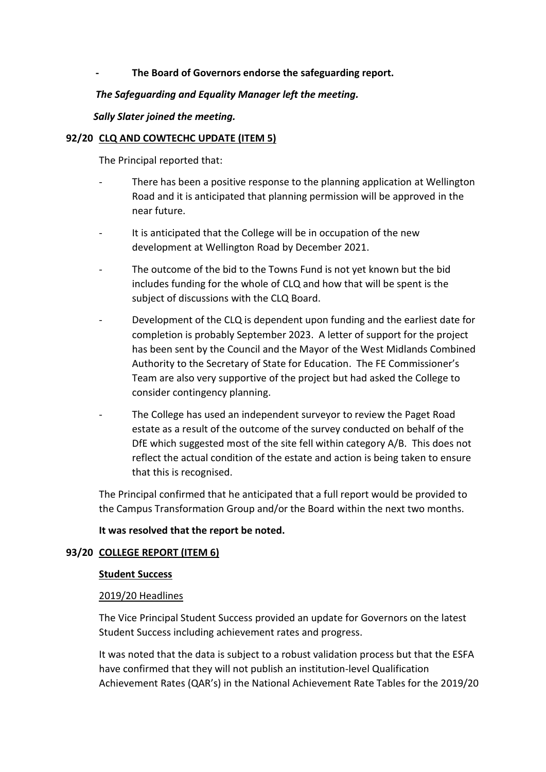### **- The Board of Governors endorse the safeguarding report.**

### *The Safeguarding and Equality Manager left the meeting.*

### *Sally Slater joined the meeting.*

### **92/20 CLQ AND COWTECHC UPDATE (ITEM 5)**

The Principal reported that:

- There has been a positive response to the planning application at Wellington Road and it is anticipated that planning permission will be approved in the near future.
- It is anticipated that the College will be in occupation of the new development at Wellington Road by December 2021.
- The outcome of the bid to the Towns Fund is not yet known but the bid includes funding for the whole of CLQ and how that will be spent is the subject of discussions with the CLQ Board.
- Development of the CLQ is dependent upon funding and the earliest date for completion is probably September 2023. A letter of support for the project has been sent by the Council and the Mayor of the West Midlands Combined Authority to the Secretary of State for Education. The FE Commissioner's Team are also very supportive of the project but had asked the College to consider contingency planning.
- The College has used an independent surveyor to review the Paget Road estate as a result of the outcome of the survey conducted on behalf of the DfE which suggested most of the site fell within category A/B. This does not reflect the actual condition of the estate and action is being taken to ensure that this is recognised.

The Principal confirmed that he anticipated that a full report would be provided to the Campus Transformation Group and/or the Board within the next two months.

### **It was resolved that the report be noted.**

### **93/20 COLLEGE REPORT (ITEM 6)**

### **Student Success**

### 2019/20 Headlines

The Vice Principal Student Success provided an update for Governors on the latest Student Success including achievement rates and progress.

It was noted that the data is subject to a robust validation process but that the ESFA have confirmed that they will not publish an institution-level Qualification Achievement Rates (QAR's) in the National Achievement Rate Tables for the 2019/20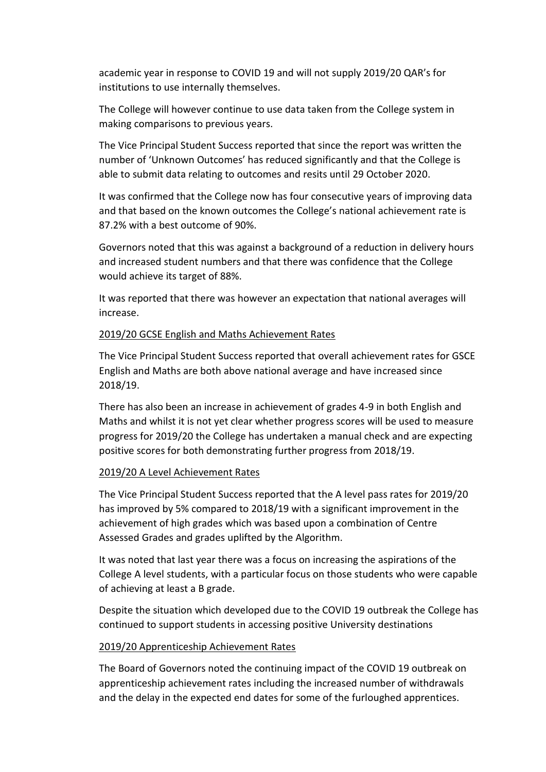academic year in response to COVID 19 and will not supply 2019/20 QAR's for institutions to use internally themselves.

The College will however continue to use data taken from the College system in making comparisons to previous years.

The Vice Principal Student Success reported that since the report was written the number of 'Unknown Outcomes' has reduced significantly and that the College is able to submit data relating to outcomes and resits until 29 October 2020.

It was confirmed that the College now has four consecutive years of improving data and that based on the known outcomes the College's national achievement rate is 87.2% with a best outcome of 90%.

Governors noted that this was against a background of a reduction in delivery hours and increased student numbers and that there was confidence that the College would achieve its target of 88%.

It was reported that there was however an expectation that national averages will increase.

### 2019/20 GCSE English and Maths Achievement Rates

The Vice Principal Student Success reported that overall achievement rates for GSCE English and Maths are both above national average and have increased since 2018/19.

There has also been an increase in achievement of grades 4-9 in both English and Maths and whilst it is not yet clear whether progress scores will be used to measure progress for 2019/20 the College has undertaken a manual check and are expecting positive scores for both demonstrating further progress from 2018/19.

# 2019/20 A Level Achievement Rates

The Vice Principal Student Success reported that the A level pass rates for 2019/20 has improved by 5% compared to 2018/19 with a significant improvement in the achievement of high grades which was based upon a combination of Centre Assessed Grades and grades uplifted by the Algorithm.

It was noted that last year there was a focus on increasing the aspirations of the College A level students, with a particular focus on those students who were capable of achieving at least a B grade.

Despite the situation which developed due to the COVID 19 outbreak the College has continued to support students in accessing positive University destinations

# 2019/20 Apprenticeship Achievement Rates

The Board of Governors noted the continuing impact of the COVID 19 outbreak on apprenticeship achievement rates including the increased number of withdrawals and the delay in the expected end dates for some of the furloughed apprentices.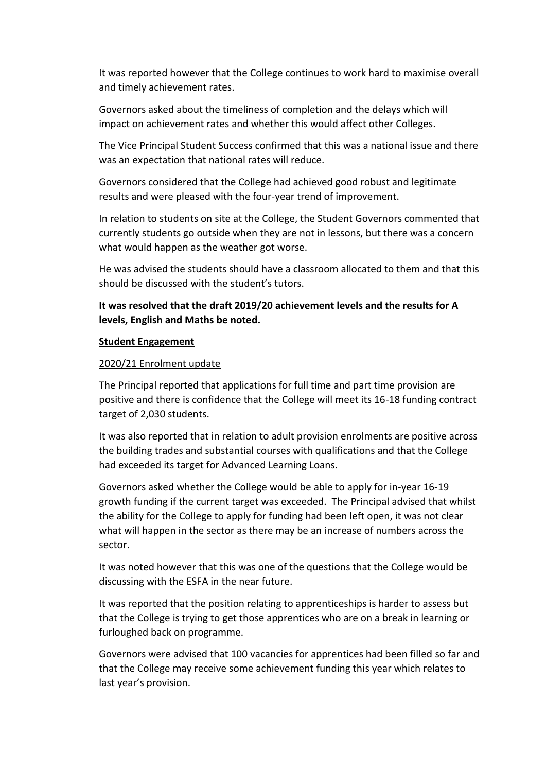It was reported however that the College continues to work hard to maximise overall and timely achievement rates.

Governors asked about the timeliness of completion and the delays which will impact on achievement rates and whether this would affect other Colleges.

The Vice Principal Student Success confirmed that this was a national issue and there was an expectation that national rates will reduce.

Governors considered that the College had achieved good robust and legitimate results and were pleased with the four-year trend of improvement.

In relation to students on site at the College, the Student Governors commented that currently students go outside when they are not in lessons, but there was a concern what would happen as the weather got worse.

He was advised the students should have a classroom allocated to them and that this should be discussed with the student's tutors.

# **It was resolved that the draft 2019/20 achievement levels and the results for A levels, English and Maths be noted.**

#### **Student Engagement**

### 2020/21 Enrolment update

The Principal reported that applications for full time and part time provision are positive and there is confidence that the College will meet its 16-18 funding contract target of 2,030 students.

It was also reported that in relation to adult provision enrolments are positive across the building trades and substantial courses with qualifications and that the College had exceeded its target for Advanced Learning Loans.

Governors asked whether the College would be able to apply for in-year 16-19 growth funding if the current target was exceeded. The Principal advised that whilst the ability for the College to apply for funding had been left open, it was not clear what will happen in the sector as there may be an increase of numbers across the sector.

It was noted however that this was one of the questions that the College would be discussing with the ESFA in the near future.

It was reported that the position relating to apprenticeships is harder to assess but that the College is trying to get those apprentices who are on a break in learning or furloughed back on programme.

Governors were advised that 100 vacancies for apprentices had been filled so far and that the College may receive some achievement funding this year which relates to last year's provision.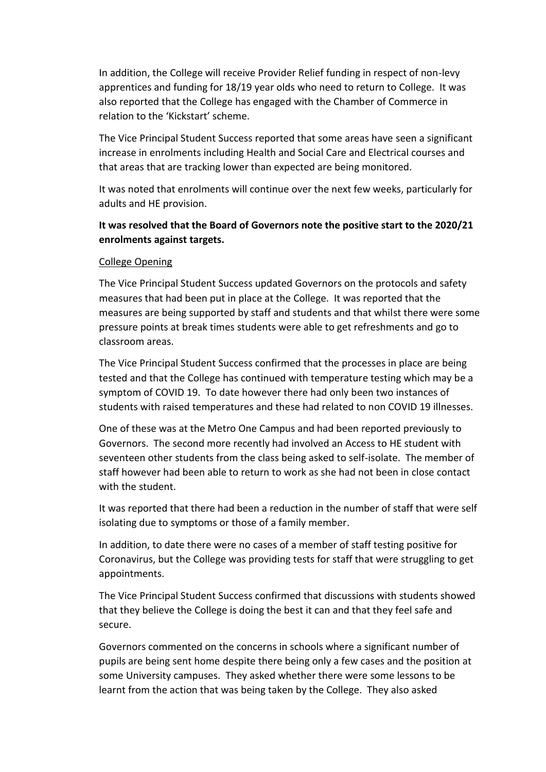In addition, the College will receive Provider Relief funding in respect of non-levy apprentices and funding for 18/19 year olds who need to return to College. It was also reported that the College has engaged with the Chamber of Commerce in relation to the 'Kickstart' scheme.

The Vice Principal Student Success reported that some areas have seen a significant increase in enrolments including Health and Social Care and Electrical courses and that areas that are tracking lower than expected are being monitored.

It was noted that enrolments will continue over the next few weeks, particularly for adults and HE provision.

# **It was resolved that the Board of Governors note the positive start to the 2020/21 enrolments against targets.**

### College Opening

The Vice Principal Student Success updated Governors on the protocols and safety measures that had been put in place at the College. It was reported that the measures are being supported by staff and students and that whilst there were some pressure points at break times students were able to get refreshments and go to classroom areas.

The Vice Principal Student Success confirmed that the processes in place are being tested and that the College has continued with temperature testing which may be a symptom of COVID 19. To date however there had only been two instances of students with raised temperatures and these had related to non COVID 19 illnesses.

One of these was at the Metro One Campus and had been reported previously to Governors. The second more recently had involved an Access to HE student with seventeen other students from the class being asked to self-isolate. The member of staff however had been able to return to work as she had not been in close contact with the student.

It was reported that there had been a reduction in the number of staff that were self isolating due to symptoms or those of a family member.

In addition, to date there were no cases of a member of staff testing positive for Coronavirus, but the College was providing tests for staff that were struggling to get appointments.

The Vice Principal Student Success confirmed that discussions with students showed that they believe the College is doing the best it can and that they feel safe and secure.

Governors commented on the concerns in schools where a significant number of pupils are being sent home despite there being only a few cases and the position at some University campuses. They asked whether there were some lessons to be learnt from the action that was being taken by the College. They also asked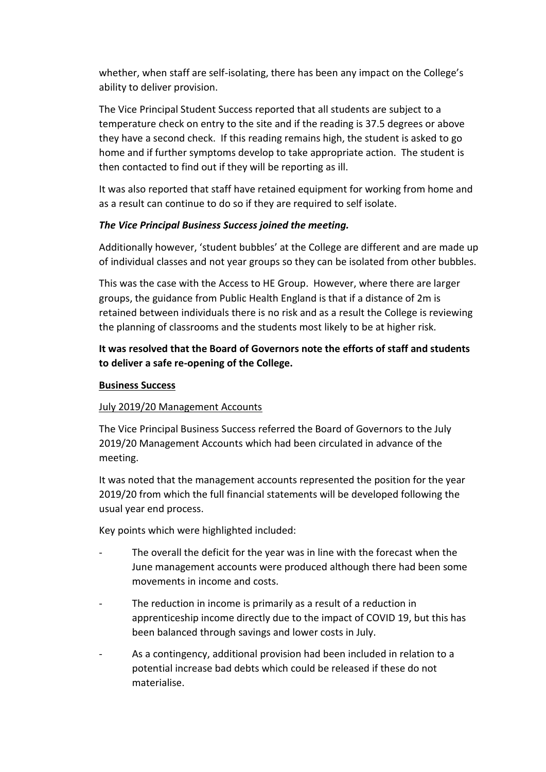whether, when staff are self-isolating, there has been any impact on the College's ability to deliver provision.

The Vice Principal Student Success reported that all students are subject to a temperature check on entry to the site and if the reading is 37.5 degrees or above they have a second check. If this reading remains high, the student is asked to go home and if further symptoms develop to take appropriate action. The student is then contacted to find out if they will be reporting as ill.

It was also reported that staff have retained equipment for working from home and as a result can continue to do so if they are required to self isolate.

# *The Vice Principal Business Success joined the meeting.*

Additionally however, 'student bubbles' at the College are different and are made up of individual classes and not year groups so they can be isolated from other bubbles.

This was the case with the Access to HE Group. However, where there are larger groups, the guidance from Public Health England is that if a distance of 2m is retained between individuals there is no risk and as a result the College is reviewing the planning of classrooms and the students most likely to be at higher risk.

# **It was resolved that the Board of Governors note the efforts of staff and students to deliver a safe re-opening of the College.**

# **Business Success**

# July 2019/20 Management Accounts

The Vice Principal Business Success referred the Board of Governors to the July 2019/20 Management Accounts which had been circulated in advance of the meeting.

It was noted that the management accounts represented the position for the year 2019/20 from which the full financial statements will be developed following the usual year end process.

Key points which were highlighted included:

- The overall the deficit for the year was in line with the forecast when the June management accounts were produced although there had been some movements in income and costs.
- The reduction in income is primarily as a result of a reduction in apprenticeship income directly due to the impact of COVID 19, but this has been balanced through savings and lower costs in July.
- As a contingency, additional provision had been included in relation to a potential increase bad debts which could be released if these do not materialise.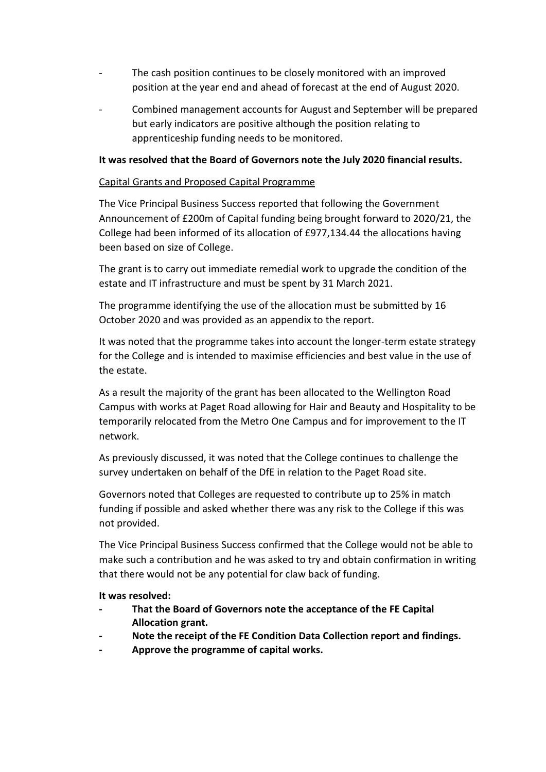- The cash position continues to be closely monitored with an improved position at the year end and ahead of forecast at the end of August 2020.
- Combined management accounts for August and September will be prepared but early indicators are positive although the position relating to apprenticeship funding needs to be monitored.

### **It was resolved that the Board of Governors note the July 2020 financial results.**

### Capital Grants and Proposed Capital Programme

The Vice Principal Business Success reported that following the Government Announcement of £200m of Capital funding being brought forward to 2020/21, the College had been informed of its allocation of £977,134.44 the allocations having been based on size of College.

The grant is to carry out immediate remedial work to upgrade the condition of the estate and IT infrastructure and must be spent by 31 March 2021.

The programme identifying the use of the allocation must be submitted by 16 October 2020 and was provided as an appendix to the report.

It was noted that the programme takes into account the longer-term estate strategy for the College and is intended to maximise efficiencies and best value in the use of the estate.

As a result the majority of the grant has been allocated to the Wellington Road Campus with works at Paget Road allowing for Hair and Beauty and Hospitality to be temporarily relocated from the Metro One Campus and for improvement to the IT network.

As previously discussed, it was noted that the College continues to challenge the survey undertaken on behalf of the DfE in relation to the Paget Road site.

Governors noted that Colleges are requested to contribute up to 25% in match funding if possible and asked whether there was any risk to the College if this was not provided.

The Vice Principal Business Success confirmed that the College would not be able to make such a contribution and he was asked to try and obtain confirmation in writing that there would not be any potential for claw back of funding.

**It was resolved:**

- **- That the Board of Governors note the acceptance of the FE Capital Allocation grant.**
- **- Note the receipt of the FE Condition Data Collection report and findings.**
- **- Approve the programme of capital works.**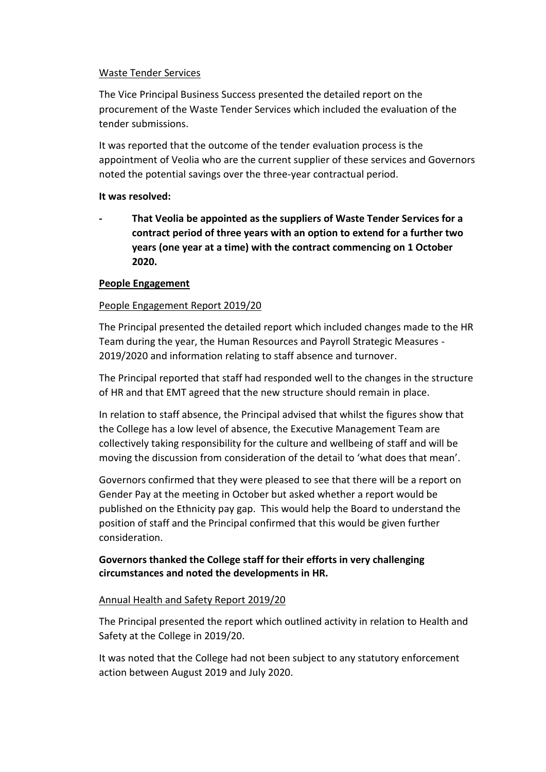### Waste Tender Services

The Vice Principal Business Success presented the detailed report on the procurement of the Waste Tender Services which included the evaluation of the tender submissions.

It was reported that the outcome of the tender evaluation process is the appointment of Veolia who are the current supplier of these services and Governors noted the potential savings over the three-year contractual period.

### **It was resolved:**

**- That Veolia be appointed as the suppliers of Waste Tender Services for a contract period of three years with an option to extend for a further two years (one year at a time) with the contract commencing on 1 October 2020.**

# **People Engagement**

# People Engagement Report 2019/20

The Principal presented the detailed report which included changes made to the HR Team during the year, the Human Resources and Payroll Strategic Measures - 2019/2020 and information relating to staff absence and turnover.

The Principal reported that staff had responded well to the changes in the structure of HR and that EMT agreed that the new structure should remain in place.

In relation to staff absence, the Principal advised that whilst the figures show that the College has a low level of absence, the Executive Management Team are collectively taking responsibility for the culture and wellbeing of staff and will be moving the discussion from consideration of the detail to 'what does that mean'.

Governors confirmed that they were pleased to see that there will be a report on Gender Pay at the meeting in October but asked whether a report would be published on the Ethnicity pay gap. This would help the Board to understand the position of staff and the Principal confirmed that this would be given further consideration.

# **Governors thanked the College staff for their efforts in very challenging circumstances and noted the developments in HR.**

### Annual Health and Safety Report 2019/20

The Principal presented the report which outlined activity in relation to Health and Safety at the College in 2019/20.

It was noted that the College had not been subject to any statutory enforcement action between August 2019 and July 2020.